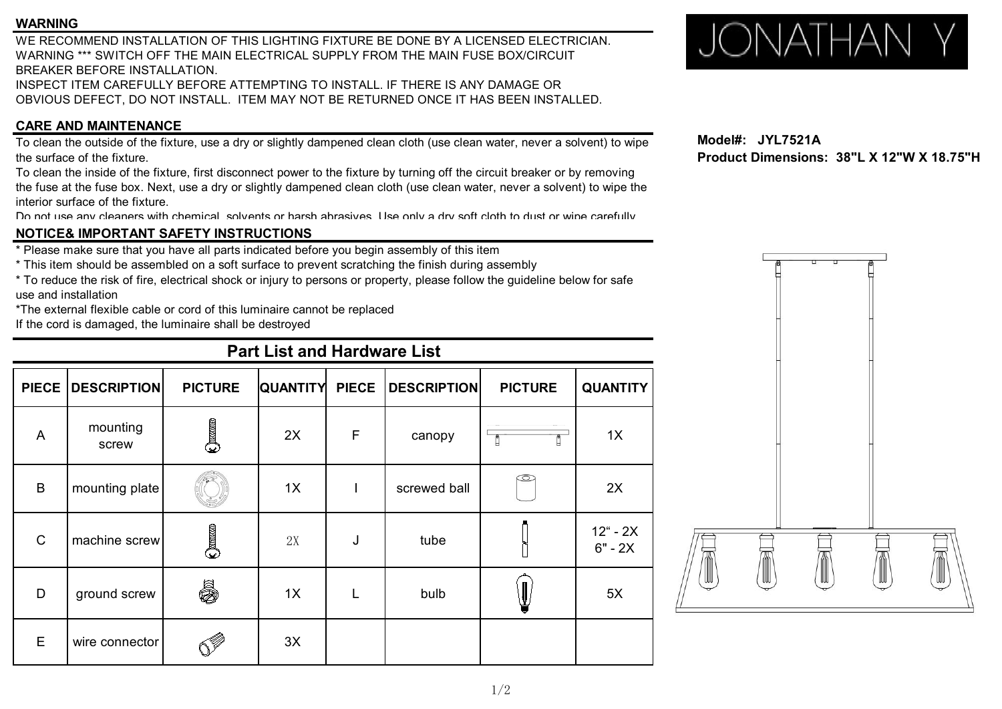### **WARNING**

WE RECOMMEND INSTALLATION OF THIS LIGHTING FIXTURE BE DONE BY A LICENSED ELECTRICIAN. WARNING<br>WE RECOMMEND INSTALLATION OF THIS LIGHTING FIXTURE BE DONE BY A LICENSED ELECTRICIAN.<br>WARNING \*\*\* SWITCH OFF THE MAIN ELECTRICAL SUPPLY FROM THE MAIN FUSE BOX/CIRCUIT BREAKER BEFORE INSTALLATION. INSPECT ITEM CAREFULLY BEFORE ATTEMPTING TO INSTALL. IF THERE IS ANY DAMAGE OR OBVIOUS DEFECT, DO NOT INSTALL. ITEM MAY NOT BE RETURNED ONCE IT HAS BEEN INSTALLED.

### **CARE AND MAINTENANCE**

To clean the outside of the fixture, use a dry or slightly dampened clean cloth (use clean water, never a solvent) to wipe the surface of the fixture.

To clean the inside of the fixture, first disconnect power to the fixture by turning off the circuit breaker or by removing the fuse at the fuse box. Next, use a dry or slightly dampened clean cloth (use clean water, never a solvent) to wipe the interior surface of the fixture.

Do not use any cleaners with chemical, solvents or harsh abrasives. Use only a dry soft cloth to dust or wipe carefully.

### **NOTICE& IMPORTANT SAFETY INSTRUCTIONS**

\* Please make sure that you have all parts indicated before you begin assembly of this item

- \* This item should be assembled on a soft surface to prevent scratching the finish during assembly
- \* To reduce the risk of fire, electrical shock or injury to persons or property, please follow the guideline below for safe use and installation

\*The external flexible cable or cord of this luminaire cannot be replaced

If the cord is damaged, the luminaire shall be destroyed

# **Part List and Hardware List**

|                | PIECE   DESCRIPTION | <b>PICTURE</b> | QUANTITY PIECE |   | <b>DESCRIPTION</b> | <b>PICTURE</b> | <b>QUANTITY</b>                |   |  |
|----------------|---------------------|----------------|----------------|---|--------------------|----------------|--------------------------------|---|--|
| $\overline{A}$ | mounting<br>screw   | $\bigcirc$     | 2X             | F | canopy             | H              | 1X                             |   |  |
| B              | mounting plate      |                | 1X             |   | screwed ball       | $\circledcirc$ | 2X                             | Ï |  |
| $\mathsf C$    | machine screw       | $\bigcirc$     | 2X             | J | tube               |                | $12^{\circ}$ - 2X<br>$6" - 2X$ |   |  |
| D              | ground screw        | 5              | 1X             |   | bulb               | ¥              | 5X                             |   |  |
| E              | wire connector      | .<br>Və        | 3X             |   |                    |                |                                |   |  |

**Model#: JYL7521A Product Dimensions: 38"L X 12"W X 18.75"H**